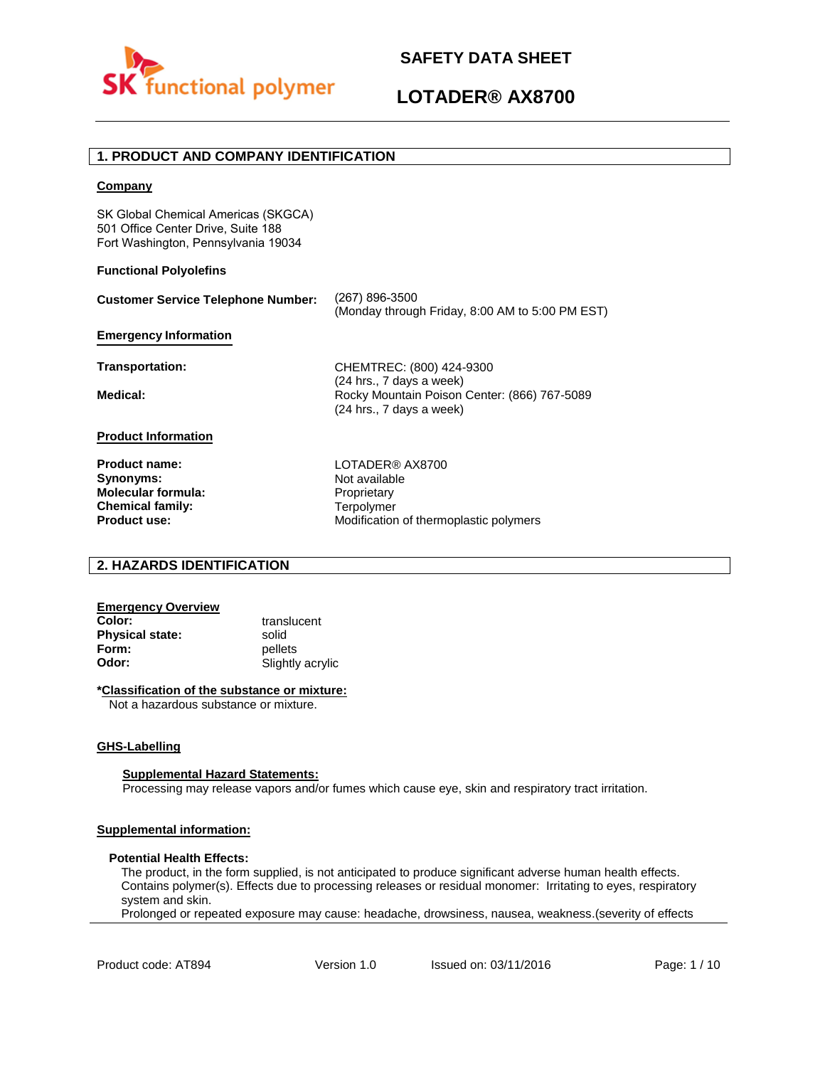

#### **1. PRODUCT AND COMPANY IDENTIFICATION**

#### **Company**

SK Global Chemical Americas (SKGCA) 501 Office Center Drive, Suite 188 Fort Washington, Pennsylvania 19034

#### **Functional Polyolefins**

| <b>Customer Service Telephone Number:</b> | (267) 896-3500<br>(Monday through Friday, 8:00 AM to 5:00 PM EST)                                    |
|-------------------------------------------|------------------------------------------------------------------------------------------------------|
| <b>Emergency Information</b>              |                                                                                                      |
| Transportation:                           | CHEMTREC: (800) 424-9300                                                                             |
| Medical:                                  | (24 hrs., 7 days a week)<br>Rocky Mountain Poison Center: (866) 767-5089<br>(24 hrs., 7 days a week) |
| <b>Product Information</b>                |                                                                                                      |
| <b>Product name:</b><br>Synonyms:         | LOTADER® AX8700<br>Not available                                                                     |

**Synonyms: Molecular formula: Chemical family: Product use:**

Not available **Proprietary Terpolymer** Modification of thermoplastic polymers

#### **2. HAZARDS IDENTIFICATION**

## **Emergency Overview**

**Physical state:** solid<br> **Form:** nellet **Form:** pellets<br> **Odor:** Slightly

**Color:** translucent **Odor:** Slightly acrylic

#### **\*Classification of the substance or mixture:**

Not a hazardous substance or mixture.

#### **GHS-Labelling**

#### **Supplemental Hazard Statements:**

Processing may release vapors and/or fumes which cause eye, skin and respiratory tract irritation.

#### **Supplemental information:**

#### **Potential Health Effects:**

The product, in the form supplied, is not anticipated to produce significant adverse human health effects. Contains polymer(s). Effects due to processing releases or residual monomer: Irritating to eyes, respiratory system and skin.

Prolonged or repeated exposure may cause: headache, drowsiness, nausea, weakness.(severity of effects

Product code: AT894 Version 1.0 Issued on: 03/11/2016 Page: 1/10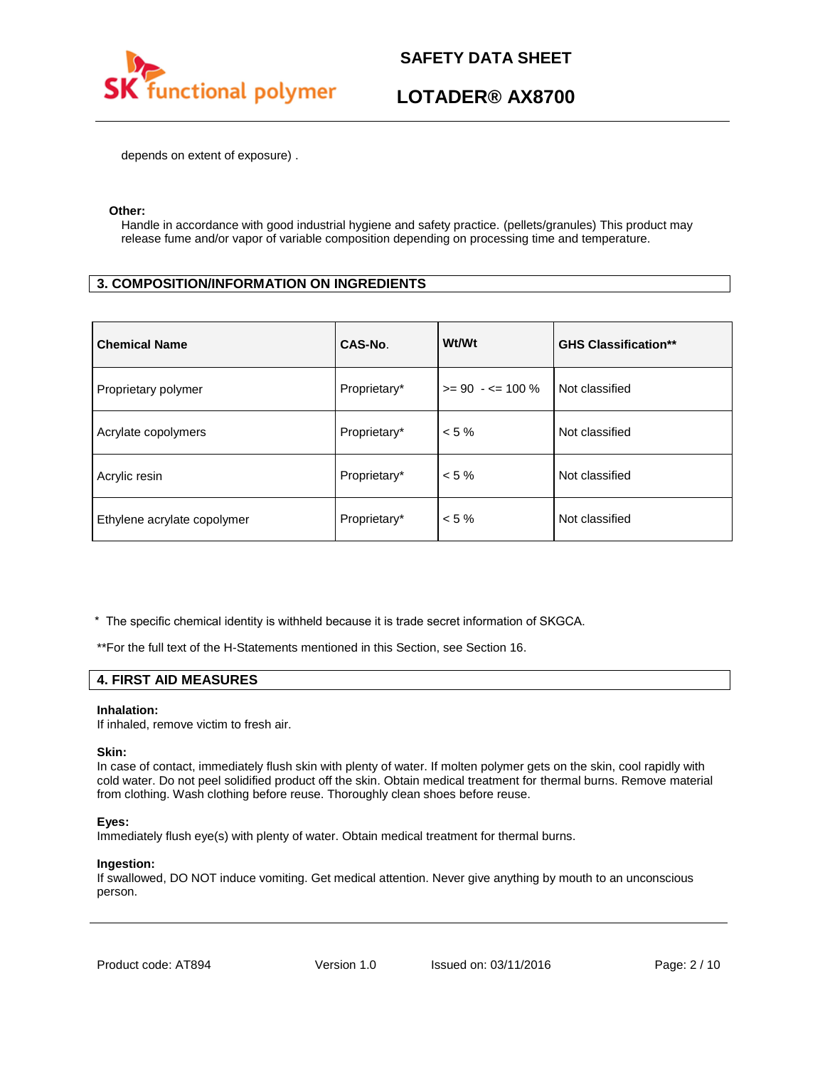

## **LOTADER® AX8700**

depends on extent of exposure) .

#### **Other:**

Handle in accordance with good industrial hygiene and safety practice. (pellets/granules) This product may release fume and/or vapor of variable composition depending on processing time and temperature.

#### **3. COMPOSITION/INFORMATION ON INGREDIENTS**

| <b>Chemical Name</b>        | CAS-No.      | Wt/Wt                | <b>GHS Classification**</b> |
|-----------------------------|--------------|----------------------|-----------------------------|
| Proprietary polymer         | Proprietary* | $>= 90 - 5 = 100 \%$ | Not classified              |
| Acrylate copolymers         | Proprietary* | $< 5 \%$             | Not classified              |
| Acrylic resin               | Proprietary* | $< 5 \%$             | Not classified              |
| Ethylene acrylate copolymer | Proprietary* | $< 5 \%$             | Not classified              |

\* The specific chemical identity is withheld because it is trade secret information of SKGCA.

\*\*For the full text of the H-Statements mentioned in this Section, see Section 16.

#### **4. FIRST AID MEASURES**

#### **Inhalation:**

If inhaled, remove victim to fresh air.

#### **Skin:**

In case of contact, immediately flush skin with plenty of water. If molten polymer gets on the skin, cool rapidly with cold water. Do not peel solidified product off the skin. Obtain medical treatment for thermal burns. Remove material from clothing. Wash clothing before reuse. Thoroughly clean shoes before reuse.

#### **Eyes:**

Immediately flush eye(s) with plenty of water. Obtain medical treatment for thermal burns.

#### **Ingestion:**

If swallowed, DO NOT induce vomiting. Get medical attention. Never give anything by mouth to an unconscious person.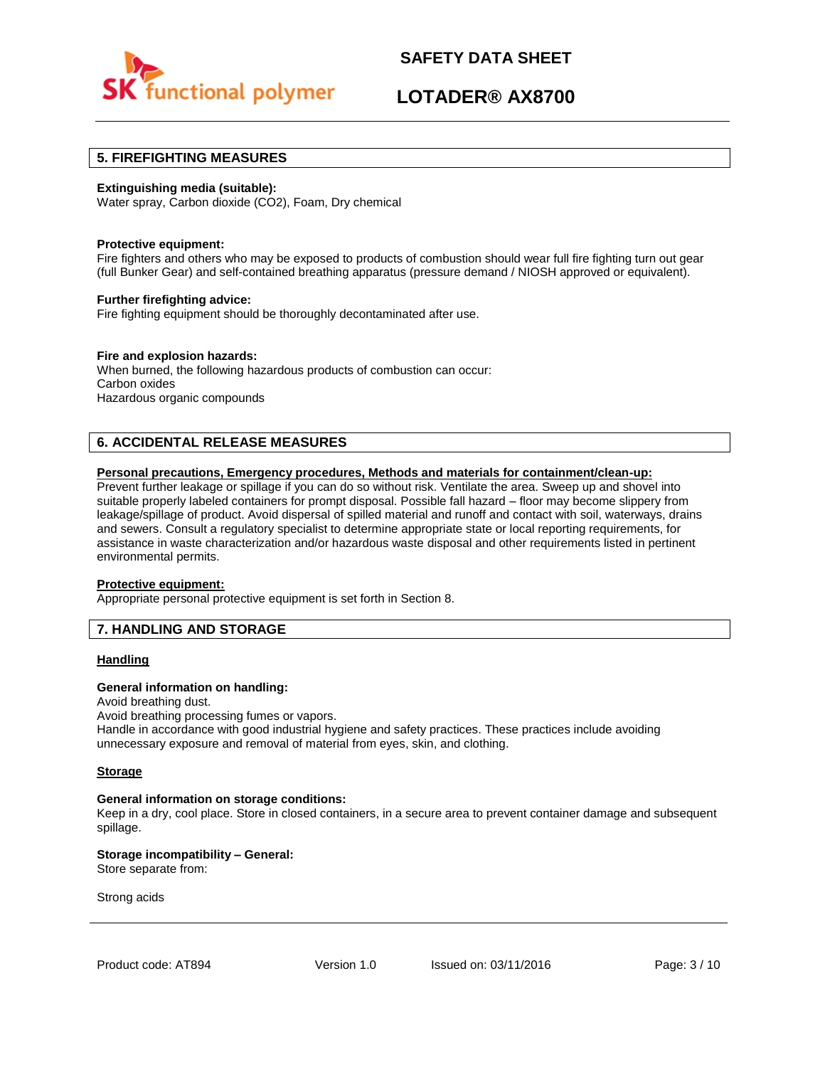

## **LOTADER® AX8700**

#### **5. FIREFIGHTING MEASURES**

#### **Extinguishing media (suitable):**

Water spray, Carbon dioxide (CO2), Foam, Dry chemical

#### **Protective equipment:**

Fire fighters and others who may be exposed to products of combustion should wear full fire fighting turn out gear (full Bunker Gear) and self-contained breathing apparatus (pressure demand / NIOSH approved or equivalent).

#### **Further firefighting advice:**

Fire fighting equipment should be thoroughly decontaminated after use.

#### **Fire and explosion hazards:**

When burned, the following hazardous products of combustion can occur: Carbon oxides Hazardous organic compounds

#### **6. ACCIDENTAL RELEASE MEASURES**

#### **Personal precautions, Emergency procedures, Methods and materials for containment/clean-up:**

Prevent further leakage or spillage if you can do so without risk. Ventilate the area. Sweep up and shovel into suitable properly labeled containers for prompt disposal. Possible fall hazard – floor may become slippery from leakage/spillage of product. Avoid dispersal of spilled material and runoff and contact with soil, waterways, drains and sewers. Consult a regulatory specialist to determine appropriate state or local reporting requirements, for assistance in waste characterization and/or hazardous waste disposal and other requirements listed in pertinent environmental permits.

#### **Protective equipment:**

Appropriate personal protective equipment is set forth in Section 8.

#### **7. HANDLING AND STORAGE**

#### **Handling**

#### **General information on handling:**

Avoid breathing dust.

Avoid breathing processing fumes or vapors. Handle in accordance with good industrial hygiene and safety practices. These practices include avoiding unnecessary exposure and removal of material from eyes, skin, and clothing.

#### **Storage**

#### **General information on storage conditions:**

Keep in a dry, cool place. Store in closed containers, in a secure area to prevent container damage and subsequent spillage.

#### **Storage incompatibility – General:**  Store separate from:

Strong acids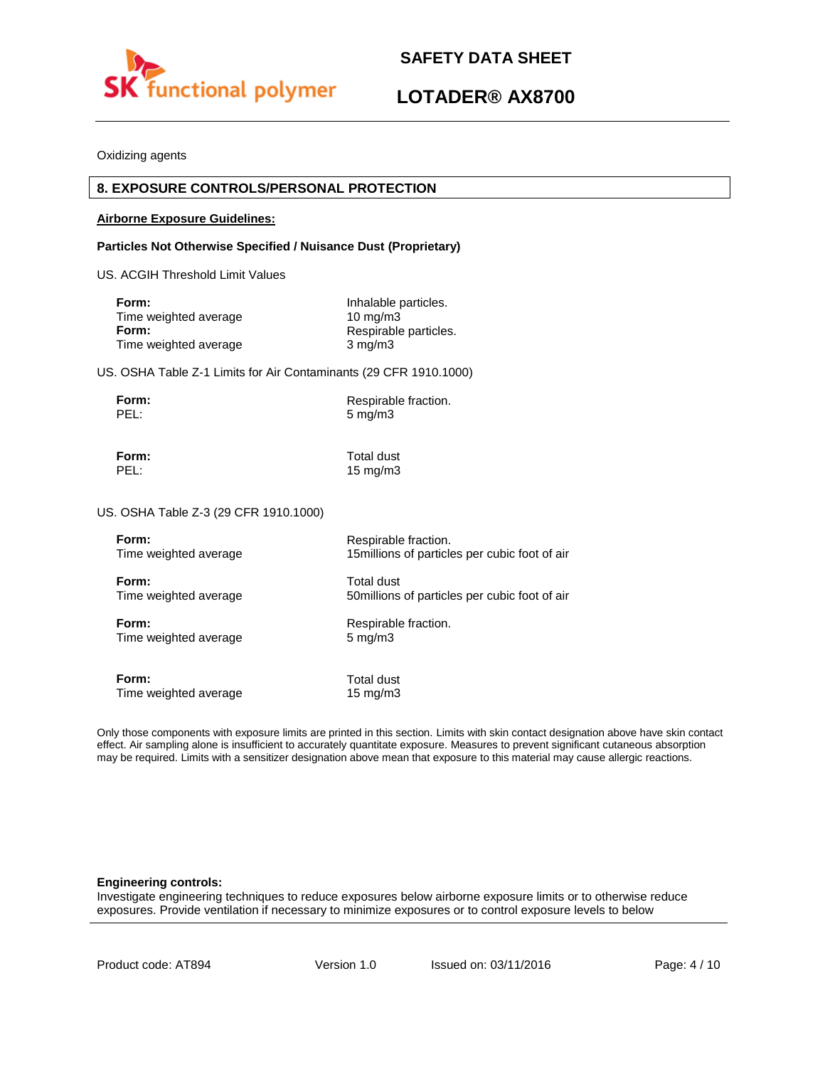



Oxidizing agents

#### **8. EXPOSURE CONTROLS/PERSONAL PROTECTION**

#### **Airborne Exposure Guidelines:**

#### **Particles Not Otherwise Specified / Nuisance Dust (Proprietary)**

US. ACGIH Threshold Limit Values

| Form:                 | Inhalable particles.  |
|-----------------------|-----------------------|
| Time weighted average | $10 \text{ ma/m}$ 3   |
| Form:                 | Respirable particles. |
| Time weighted average | $3 \text{ mg/m}$      |

US. OSHA Table Z-1 Limits for Air Contaminants (29 CFR 1910.1000)

**Form:** Respirable fraction.<br> **PEL:** 5 ma/m3  $5 \text{ mg/m}$ 3

**Form:** Total dust

PEL: 15 mg/m3

US. OSHA Table Z-3 (29 CFR 1910.1000)

| Form:                 | Respirable fraction.                           |
|-----------------------|------------------------------------------------|
| Time weighted average | 15 millions of particles per cubic foot of air |
| Form:                 | Total dust                                     |
| Time weighted average | 50 millions of particles per cubic foot of air |
| Form:                 | Respirable fraction.                           |
| Time weighted average | $5 \text{ mg/m}$                               |
| Form:                 | Total dust                                     |
| Time weighted average | $15 \text{ mg/m}$                              |

Only those components with exposure limits are printed in this section. Limits with skin contact designation above have skin contact effect. Air sampling alone is insufficient to accurately quantitate exposure. Measures to prevent significant cutaneous absorption may be required. Limits with a sensitizer designation above mean that exposure to this material may cause allergic reactions.

#### **Engineering controls:**

Investigate engineering techniques to reduce exposures below airborne exposure limits or to otherwise reduce exposures. Provide ventilation if necessary to minimize exposures or to control exposure levels to below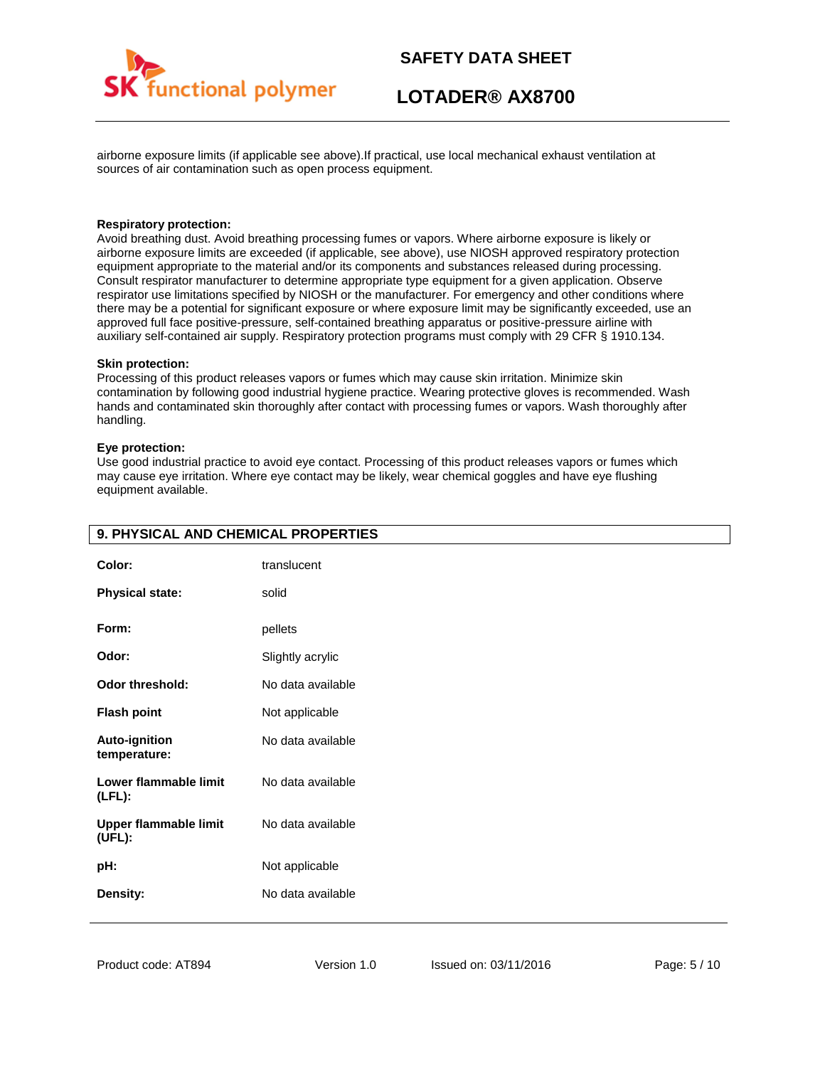

airborne exposure limits (if applicable see above).If practical, use local mechanical exhaust ventilation at sources of air contamination such as open process equipment.

#### **Respiratory protection:**

Avoid breathing dust. Avoid breathing processing fumes or vapors. Where airborne exposure is likely or airborne exposure limits are exceeded (if applicable, see above), use NIOSH approved respiratory protection equipment appropriate to the material and/or its components and substances released during processing. Consult respirator manufacturer to determine appropriate type equipment for a given application. Observe respirator use limitations specified by NIOSH or the manufacturer. For emergency and other conditions where there may be a potential for significant exposure or where exposure limit may be significantly exceeded, use an approved full face positive-pressure, self-contained breathing apparatus or positive-pressure airline with auxiliary self-contained air supply. Respiratory protection programs must comply with 29 CFR § 1910.134.

#### **Skin protection:**

Processing of this product releases vapors or fumes which may cause skin irritation. Minimize skin contamination by following good industrial hygiene practice. Wearing protective gloves is recommended. Wash hands and contaminated skin thoroughly after contact with processing fumes or vapors. Wash thoroughly after handling.

#### **Eye protection:**

Use good industrial practice to avoid eye contact. Processing of this product releases vapors or fumes which may cause eye irritation. Where eye contact may be likely, wear chemical goggles and have eye flushing equipment available.

| 9. PHYSICAL AND CHEMICAL PROPERTIES    |                   |  |
|----------------------------------------|-------------------|--|
| Color:                                 | translucent       |  |
| <b>Physical state:</b>                 | solid             |  |
| Form:                                  | pellets           |  |
| Odor:                                  | Slightly acrylic  |  |
| <b>Odor threshold:</b>                 | No data available |  |
| <b>Flash point</b>                     | Not applicable    |  |
| <b>Auto-ignition</b><br>temperature:   | No data available |  |
| Lower flammable limit<br>$(LFL)$ :     | No data available |  |
| <b>Upper flammable limit</b><br>(UFL): | No data available |  |
| pH:                                    | Not applicable    |  |
| Density:                               | No data available |  |
|                                        |                   |  |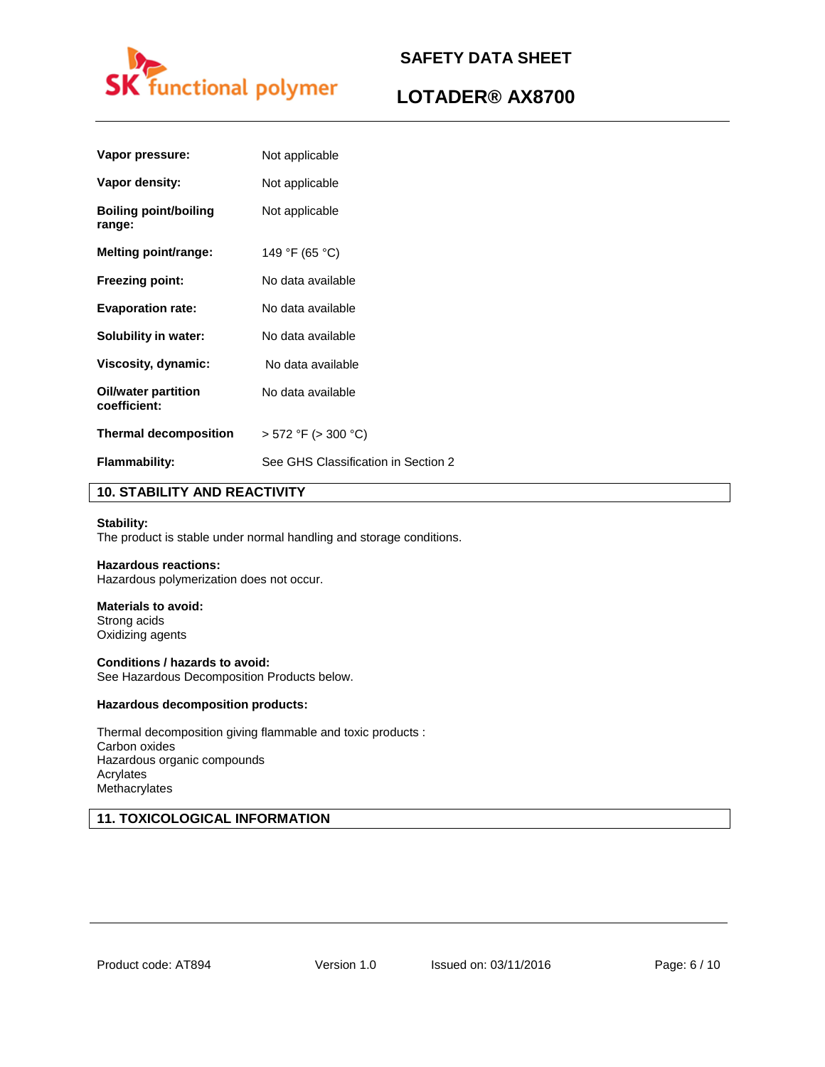

## **LOTADER® AX8700**

| Vapor pressure:                            | Not applicable                      |
|--------------------------------------------|-------------------------------------|
| Vapor density:                             | Not applicable                      |
| <b>Boiling point/boiling</b><br>range:     | Not applicable                      |
| Melting point/range:                       | 149 °F (65 °C)                      |
| <b>Freezing point:</b>                     | No data available                   |
| <b>Evaporation rate:</b>                   | No data available                   |
| Solubility in water:                       | No data available                   |
| Viscosity, dynamic:                        | No data available                   |
| <b>Oil/water partition</b><br>coefficient: | No data available                   |
| <b>Thermal decomposition</b>               | $> 572$ °F ( $> 300$ °C)            |
| <b>Flammability:</b>                       | See GHS Classification in Section 2 |

#### **10. STABILITY AND REACTIVITY**

#### **Stability:**

The product is stable under normal handling and storage conditions.

#### **Hazardous reactions:**

Hazardous polymerization does not occur.

#### **Materials to avoid:**

Strong acids Oxidizing agents

**Conditions / hazards to avoid:**  See Hazardous Decomposition Products below.

#### **Hazardous decomposition products:**

Thermal decomposition giving flammable and toxic products : Carbon oxides Hazardous organic compounds Acrylates **Methacrylates** 

#### **11. TOXICOLOGICAL INFORMATION**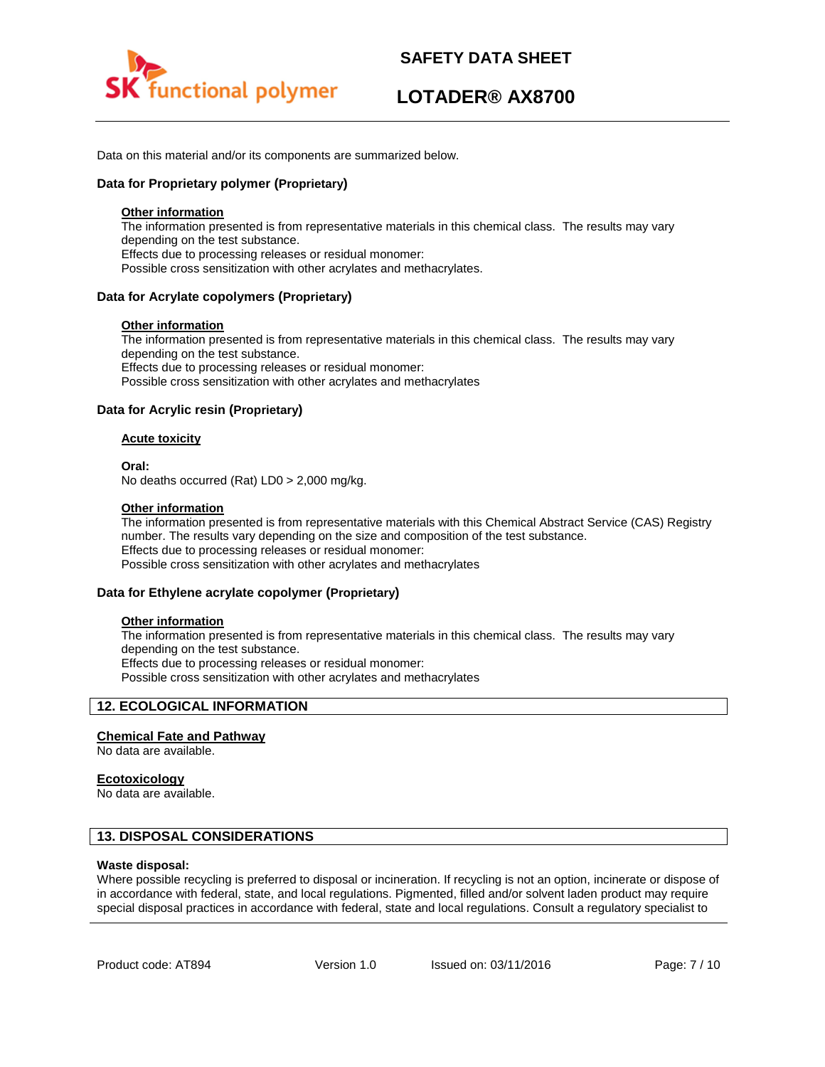

Data on this material and/or its components are summarized below.

#### **Data for Proprietary polymer (Proprietary)**

#### **Other information**

The information presented is from representative materials in this chemical class. The results may vary depending on the test substance. Effects due to processing releases or residual monomer: Possible cross sensitization with other acrylates and methacrylates.

#### **Data for Acrylate copolymers (Proprietary)**

#### **Other information**

The information presented is from representative materials in this chemical class. The results may vary depending on the test substance. Effects due to processing releases or residual monomer: Possible cross sensitization with other acrylates and methacrylates

#### **Data for Acrylic resin (Proprietary)**

#### **Acute toxicity**

**Oral:**

No deaths occurred (Rat) LD0 > 2,000 mg/kg.

#### **Other information**

The information presented is from representative materials with this Chemical Abstract Service (CAS) Registry number. The results vary depending on the size and composition of the test substance. Effects due to processing releases or residual monomer: Possible cross sensitization with other acrylates and methacrylates

#### **Data for Ethylene acrylate copolymer (Proprietary)**

#### **Other information**

The information presented is from representative materials in this chemical class. The results may vary depending on the test substance. Effects due to processing releases or residual monomer: Possible cross sensitization with other acrylates and methacrylates

#### **12. ECOLOGICAL INFORMATION**

#### **Chemical Fate and Pathway**

No data are available.

#### **Ecotoxicology**

No data are available.

#### **13. DISPOSAL CONSIDERATIONS**

#### **Waste disposal:**

Where possible recycling is preferred to disposal or incineration. If recycling is not an option, incinerate or dispose of in accordance with federal, state, and local regulations. Pigmented, filled and/or solvent laden product may require special disposal practices in accordance with federal, state and local regulations. Consult a regulatory specialist to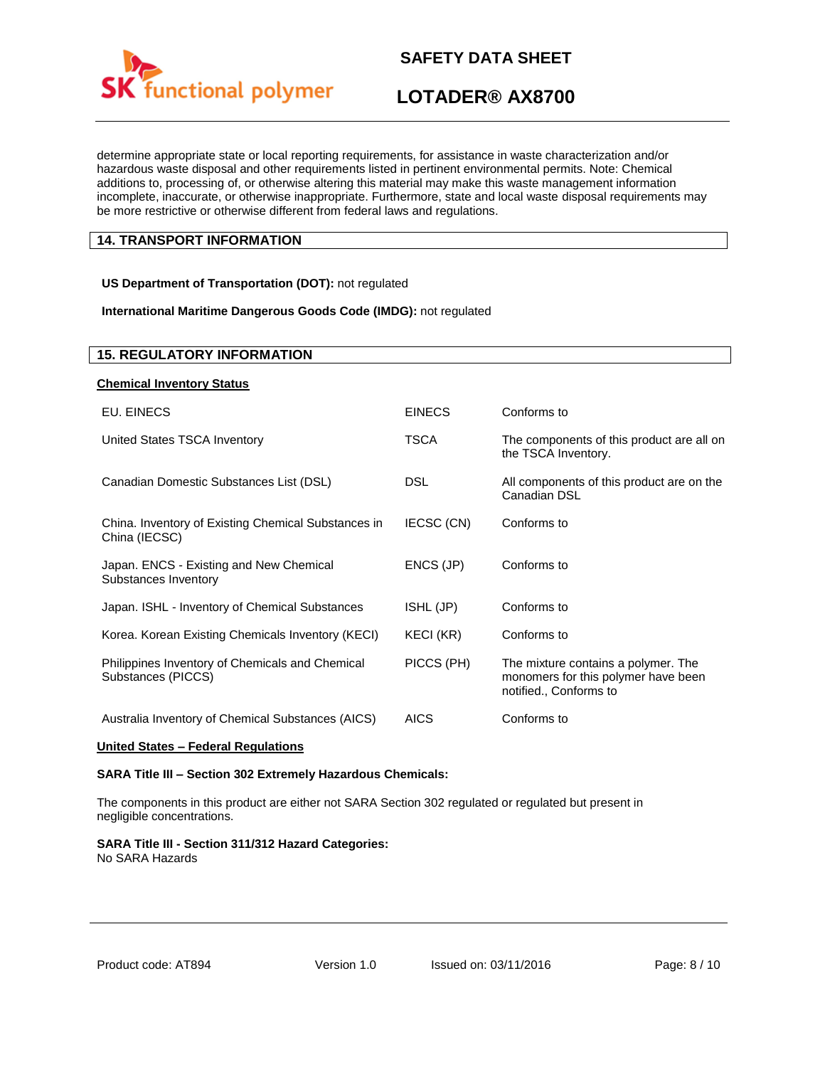

## **LOTADER® AX8700**

determine appropriate state or local reporting requirements, for assistance in waste characterization and/or hazardous waste disposal and other requirements listed in pertinent environmental permits. Note: Chemical additions to, processing of, or otherwise altering this material may make this waste management information incomplete, inaccurate, or otherwise inappropriate. Furthermore, state and local waste disposal requirements may be more restrictive or otherwise different from federal laws and regulations.

#### **14. TRANSPORT INFORMATION**

#### **US Department of Transportation (DOT):** not regulated

#### **International Maritime Dangerous Goods Code (IMDG):** not regulated

| <b>15. REGULATORY INFORMATION</b>                                     |               |                                                                                                      |
|-----------------------------------------------------------------------|---------------|------------------------------------------------------------------------------------------------------|
| <b>Chemical Inventory Status</b>                                      |               |                                                                                                      |
| EU. EINECS                                                            | <b>EINECS</b> | Conforms to                                                                                          |
| United States TSCA Inventory                                          | <b>TSCA</b>   | The components of this product are all on<br>the TSCA Inventory.                                     |
| Canadian Domestic Substances List (DSL)                               | <b>DSL</b>    | All components of this product are on the<br>Canadian DSL                                            |
| China. Inventory of Existing Chemical Substances in<br>China (IECSC)  | IECSC (CN)    | Conforms to                                                                                          |
| Japan. ENCS - Existing and New Chemical<br>Substances Inventory       | ENCS (JP)     | Conforms to                                                                                          |
| Japan. ISHL - Inventory of Chemical Substances                        | ISHL (JP)     | Conforms to                                                                                          |
| Korea. Korean Existing Chemicals Inventory (KECI)                     | KECI (KR)     | Conforms to                                                                                          |
| Philippines Inventory of Chemicals and Chemical<br>Substances (PICCS) | PICCS (PH)    | The mixture contains a polymer. The<br>monomers for this polymer have been<br>notified., Conforms to |
| Australia Inventory of Chemical Substances (AICS)                     | <b>AICS</b>   | Conforms to                                                                                          |

#### **United States – Federal Regulations**

#### **SARA Title III – Section 302 Extremely Hazardous Chemicals:**

The components in this product are either not SARA Section 302 regulated or regulated but present in negligible concentrations.

#### **SARA Title III - Section 311/312 Hazard Categories:**

No SARA Hazards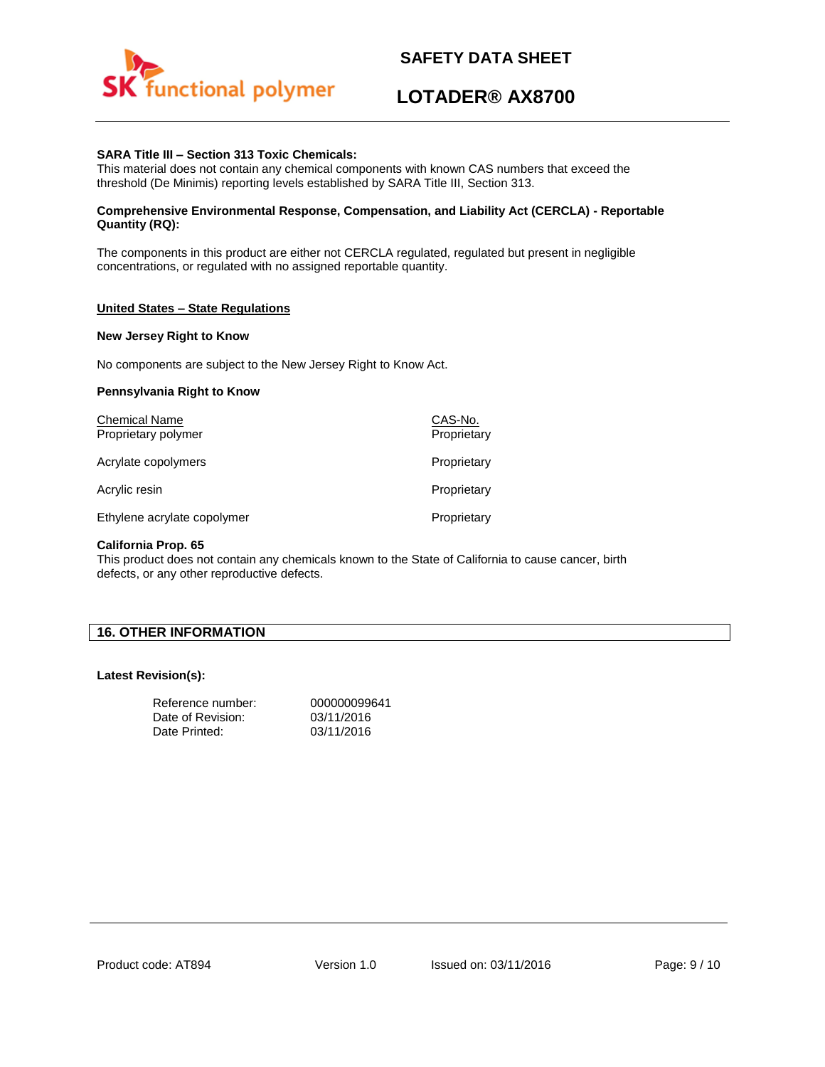

## **LOTADER® AX8700**

#### **SARA Title III – Section 313 Toxic Chemicals:**

This material does not contain any chemical components with known CAS numbers that exceed the threshold (De Minimis) reporting levels established by SARA Title III, Section 313.

#### **Comprehensive Environmental Response, Compensation, and Liability Act (CERCLA) - Reportable Quantity (RQ):**

The components in this product are either not CERCLA regulated, regulated but present in negligible concentrations, or regulated with no assigned reportable quantity.

#### **United States – State Regulations**

#### **New Jersey Right to Know**

No components are subject to the New Jersey Right to Know Act.

#### **Pennsylvania Right to Know**

| <b>Chemical Name</b><br>Proprietary polymer | CAS-No.<br>Proprietary |
|---------------------------------------------|------------------------|
| Acrylate copolymers                         | Proprietary            |
| Acrylic resin                               | Proprietary            |
| Ethylene acrylate copolymer                 | Proprietary            |

#### **California Prop. 65**

This product does not contain any chemicals known to the State of California to cause cancer, birth defects, or any other reproductive defects.

#### **16. OTHER INFORMATION**

#### **Latest Revision(s):**

| Reference number: | 000000099641 |
|-------------------|--------------|
| Date of Revision: | 03/11/2016   |
| Date Printed:     | 03/11/2016   |